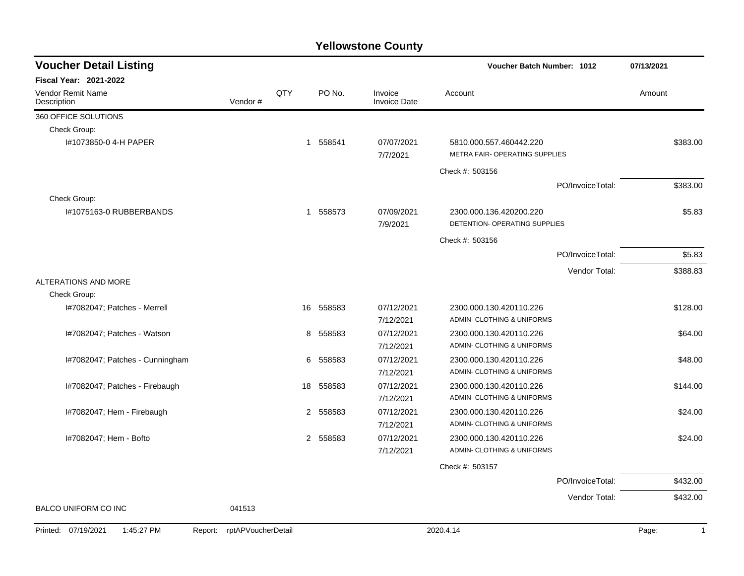| <b>Voucher Detail Listing</b>                |                    |     |           |                                | Voucher Batch Number: 1012                                |                  | 07/13/2021            |
|----------------------------------------------|--------------------|-----|-----------|--------------------------------|-----------------------------------------------------------|------------------|-----------------------|
| <b>Fiscal Year: 2021-2022</b>                |                    |     |           |                                |                                                           |                  |                       |
| Vendor Remit Name<br>Description             | Vendor#            | QTY | PO No.    | Invoice<br><b>Invoice Date</b> | Account                                                   |                  | Amount                |
| 360 OFFICE SOLUTIONS                         |                    |     |           |                                |                                                           |                  |                       |
| Check Group:                                 |                    |     |           |                                |                                                           |                  |                       |
| I#1073850-0 4-H PAPER                        |                    |     | 1 558541  | 07/07/2021<br>7/7/2021         | 5810.000.557.460442.220<br>METRA FAIR- OPERATING SUPPLIES |                  | \$383.00              |
|                                              |                    |     |           |                                | Check #: 503156                                           |                  |                       |
|                                              |                    |     |           |                                |                                                           | PO/InvoiceTotal: | \$383.00              |
| Check Group:                                 |                    |     |           |                                |                                                           |                  |                       |
| I#1075163-0 RUBBERBANDS                      |                    |     | 1 558573  | 07/09/2021<br>7/9/2021         | 2300.000.136.420200.220<br>DETENTION- OPERATING SUPPLIES  |                  | \$5.83                |
|                                              |                    |     |           |                                | Check #: 503156                                           |                  |                       |
|                                              |                    |     |           |                                |                                                           | PO/InvoiceTotal: | \$5.83                |
|                                              |                    |     |           |                                |                                                           | Vendor Total:    | \$388.83              |
| ALTERATIONS AND MORE                         |                    |     |           |                                |                                                           |                  |                       |
| Check Group:                                 |                    |     |           |                                |                                                           |                  |                       |
| I#7082047; Patches - Merrell                 |                    |     | 16 558583 | 07/12/2021                     | 2300.000.130.420110.226                                   |                  | \$128.00              |
|                                              |                    |     |           | 7/12/2021                      | ADMIN- CLOTHING & UNIFORMS                                |                  |                       |
| I#7082047; Patches - Watson                  |                    | 8   | 558583    | 07/12/2021                     | 2300.000.130.420110.226                                   |                  | \$64.00               |
|                                              |                    |     |           | 7/12/2021                      | ADMIN- CLOTHING & UNIFORMS                                |                  |                       |
| I#7082047; Patches - Cunningham              |                    | 6   | 558583    | 07/12/2021                     | 2300.000.130.420110.226                                   |                  | \$48.00               |
|                                              |                    |     |           | 7/12/2021                      | ADMIN- CLOTHING & UNIFORMS                                |                  |                       |
| I#7082047; Patches - Firebaugh               |                    | 18  | 558583    | 07/12/2021                     | 2300.000.130.420110.226                                   |                  | \$144.00              |
|                                              |                    |     |           | 7/12/2021                      | ADMIN- CLOTHING & UNIFORMS                                |                  |                       |
| I#7082047; Hem - Firebaugh                   |                    |     | 2 558583  | 07/12/2021                     | 2300.000.130.420110.226                                   |                  | \$24.00               |
|                                              |                    |     |           | 7/12/2021                      | ADMIN- CLOTHING & UNIFORMS                                |                  |                       |
| I#7082047; Hem - Bofto                       |                    |     | 2 558583  | 07/12/2021<br>7/12/2021        | 2300.000.130.420110.226<br>ADMIN- CLOTHING & UNIFORMS     |                  | \$24.00               |
|                                              |                    |     |           |                                | Check #: 503157                                           |                  |                       |
|                                              |                    |     |           |                                |                                                           | PO/InvoiceTotal: | \$432.00              |
|                                              |                    |     |           |                                |                                                           | Vendor Total:    | \$432.00              |
| <b>BALCO UNIFORM CO INC</b>                  | 041513             |     |           |                                |                                                           |                  |                       |
| Printed: 07/19/2021<br>1:45:27 PM<br>Report: | rptAPVoucherDetail |     |           |                                | 2020.4.14                                                 |                  | Page:<br>$\mathbf{1}$ |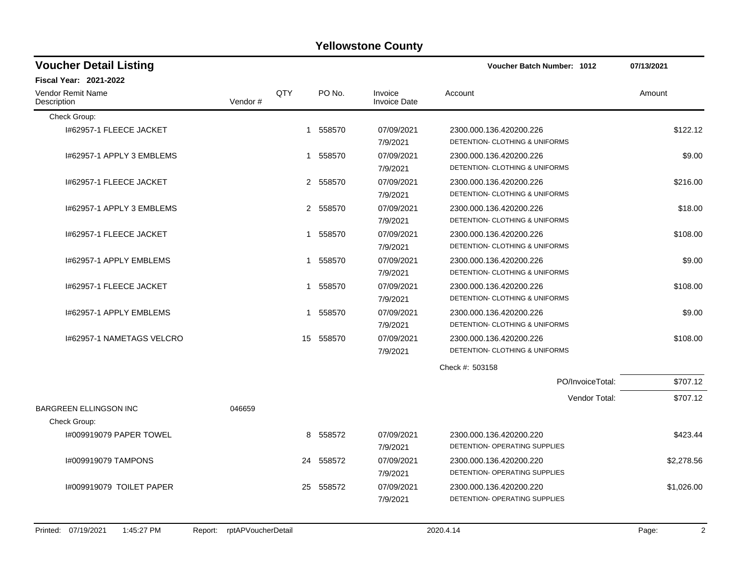| <b>Voucher Detail Listing</b>    |         |              |          |                                | <b>Voucher Batch Number: 1012</b> | 07/13/2021 |
|----------------------------------|---------|--------------|----------|--------------------------------|-----------------------------------|------------|
| <b>Fiscal Year: 2021-2022</b>    |         |              |          |                                |                                   |            |
| Vendor Remit Name<br>Description | Vendor# | <b>QTY</b>   | PO No.   | Invoice<br><b>Invoice Date</b> | Account                           | Amount     |
| Check Group:                     |         |              |          |                                |                                   |            |
| 1#62957-1 FLEECE JACKET          |         |              | 1 558570 | 07/09/2021                     | 2300.000.136.420200.226           | \$122.12   |
|                                  |         |              |          | 7/9/2021                       | DETENTION- CLOTHING & UNIFORMS    |            |
| 1#62957-1 APPLY 3 EMBLEMS        |         |              | 1 558570 | 07/09/2021                     | 2300.000.136.420200.226           | \$9.00     |
|                                  |         |              |          | 7/9/2021                       | DETENTION- CLOTHING & UNIFORMS    |            |
| 1#62957-1 FLEECE JACKET          |         |              | 2 558570 | 07/09/2021                     | 2300.000.136.420200.226           | \$216.00   |
|                                  |         |              |          | 7/9/2021                       | DETENTION- CLOTHING & UNIFORMS    |            |
| 1#62957-1 APPLY 3 EMBLEMS        |         |              | 2 558570 | 07/09/2021                     | 2300.000.136.420200.226           | \$18.00    |
|                                  |         |              |          | 7/9/2021                       | DETENTION- CLOTHING & UNIFORMS    |            |
| 1#62957-1 FLEECE JACKET          |         |              | 1 558570 | 07/09/2021                     | 2300.000.136.420200.226           | \$108.00   |
|                                  |         |              |          | 7/9/2021                       | DETENTION- CLOTHING & UNIFORMS    |            |
| 1#62957-1 APPLY EMBLEMS          |         | $\mathbf{1}$ | 558570   | 07/09/2021                     | 2300.000.136.420200.226           | \$9.00     |
|                                  |         |              |          | 7/9/2021                       | DETENTION- CLOTHING & UNIFORMS    |            |
| 1#62957-1 FLEECE JACKET          |         |              | 1 558570 | 07/09/2021                     | 2300.000.136.420200.226           | \$108.00   |
|                                  |         |              |          | 7/9/2021                       | DETENTION- CLOTHING & UNIFORMS    |            |
| 1#62957-1 APPLY EMBLEMS          |         |              | 1 558570 | 07/09/2021                     | 2300.000.136.420200.226           | \$9.00     |
|                                  |         |              |          | 7/9/2021                       | DETENTION- CLOTHING & UNIFORMS    |            |
| 1#62957-1 NAMETAGS VELCRO        |         | 15           | 558570   | 07/09/2021                     | 2300.000.136.420200.226           | \$108.00   |
|                                  |         |              |          | 7/9/2021                       | DETENTION- CLOTHING & UNIFORMS    |            |
|                                  |         |              |          |                                | Check #: 503158                   |            |
|                                  |         |              |          |                                | PO/InvoiceTotal:                  | \$707.12   |
|                                  |         |              |          |                                | Vendor Total:                     | \$707.12   |
| <b>BARGREEN ELLINGSON INC</b>    | 046659  |              |          |                                |                                   |            |
| Check Group:                     |         |              |          |                                |                                   |            |
| 1#009919079 PAPER TOWEL          |         | 8            | 558572   | 07/09/2021                     | 2300.000.136.420200.220           | \$423.44   |
|                                  |         |              |          | 7/9/2021                       | DETENTION- OPERATING SUPPLIES     |            |
| <b>I#009919079 TAMPONS</b>       |         | 24           | 558572   | 07/09/2021                     | 2300.000.136.420200.220           | \$2,278.56 |
|                                  |         |              |          | 7/9/2021                       | DETENTION- OPERATING SUPPLIES     |            |
| 1#009919079 TOILET PAPER         |         | 25           | 558572   | 07/09/2021                     | 2300.000.136.420200.220           | \$1,026.00 |
|                                  |         |              |          | 7/9/2021                       | DETENTION- OPERATING SUPPLIES     |            |
|                                  |         |              |          |                                |                                   |            |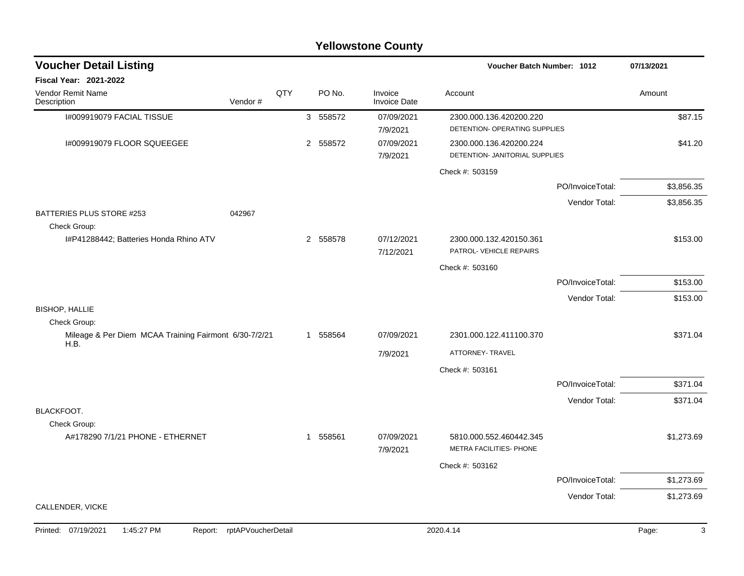| <b>Voucher Detail Listing</b>                                 |         |     |   |          |                                | Voucher Batch Number: 1012                                |                  | 07/13/2021 |
|---------------------------------------------------------------|---------|-----|---|----------|--------------------------------|-----------------------------------------------------------|------------------|------------|
| <b>Fiscal Year: 2021-2022</b>                                 |         |     |   |          |                                |                                                           |                  |            |
| Vendor Remit Name<br>Description                              | Vendor# | QTY |   | PO No.   | Invoice<br><b>Invoice Date</b> | Account                                                   |                  | Amount     |
| I#009919079 FACIAL TISSUE                                     |         |     |   | 3 558572 | 07/09/2021<br>7/9/2021         | 2300.000.136.420200.220<br>DETENTION- OPERATING SUPPLIES  |                  | \$87.15    |
| I#009919079 FLOOR SQUEEGEE                                    |         |     |   | 2 558572 | 07/09/2021<br>7/9/2021         | 2300.000.136.420200.224<br>DETENTION- JANITORIAL SUPPLIES |                  | \$41.20    |
|                                                               |         |     |   |          |                                | Check #: 503159                                           |                  |            |
|                                                               |         |     |   |          |                                |                                                           | PO/InvoiceTotal: | \$3,856.35 |
| BATTERIES PLUS STORE #253<br>Check Group:                     | 042967  |     |   |          |                                |                                                           | Vendor Total:    | \$3,856.35 |
| I#P41288442; Batteries Honda Rhino ATV                        |         |     |   | 2 558578 | 07/12/2021<br>7/12/2021        | 2300.000.132.420150.361<br>PATROL-VEHICLE REPAIRS         |                  | \$153.00   |
|                                                               |         |     |   |          |                                | Check #: 503160                                           |                  |            |
|                                                               |         |     |   |          |                                |                                                           | PO/InvoiceTotal: | \$153.00   |
| <b>BISHOP, HALLIE</b>                                         |         |     |   |          |                                |                                                           | Vendor Total:    | \$153.00   |
| Check Group:                                                  |         |     |   |          |                                |                                                           |                  |            |
| Mileage & Per Diem MCAA Training Fairmont 6/30-7/2/21<br>H.B. |         |     |   | 1 558564 | 07/09/2021                     | 2301.000.122.411100.370                                   |                  | \$371.04   |
|                                                               |         |     |   |          | 7/9/2021                       | ATTORNEY- TRAVEL                                          |                  |            |
|                                                               |         |     |   |          |                                | Check #: 503161                                           |                  |            |
|                                                               |         |     |   |          |                                |                                                           | PO/InvoiceTotal: | \$371.04   |
| <b>BLACKFOOT.</b><br>Check Group:                             |         |     |   |          |                                |                                                           | Vendor Total:    | \$371.04   |
| A#178290 7/1/21 PHONE - ETHERNET                              |         |     | 1 | 558561   | 07/09/2021<br>7/9/2021         | 5810.000.552.460442.345<br>METRA FACILITIES- PHONE        |                  | \$1,273.69 |
|                                                               |         |     |   |          |                                | Check #: 503162                                           |                  |            |
|                                                               |         |     |   |          |                                |                                                           | PO/InvoiceTotal: | \$1,273.69 |
| CALLENDER, VICKE                                              |         |     |   |          |                                |                                                           | Vendor Total:    | \$1,273.69 |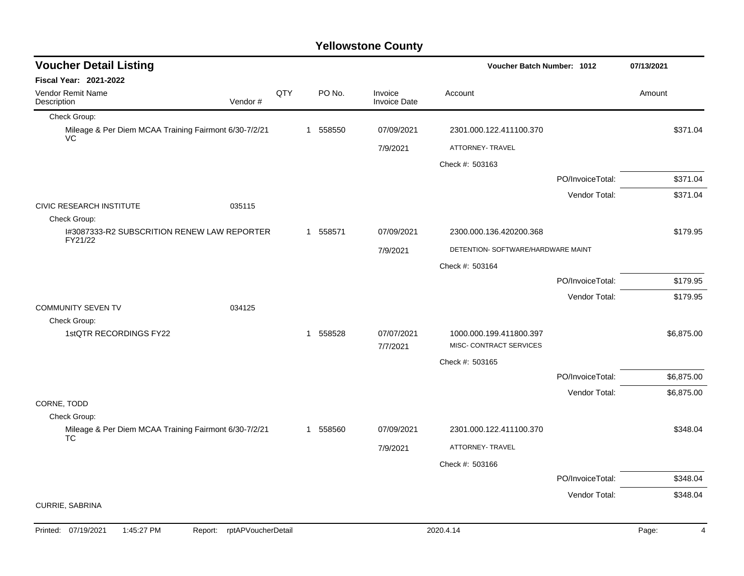| <b>Voucher Detail Listing</b>                               |         |     |   |          |                                | Voucher Batch Number: 1012         |                  | 07/13/2021 |  |
|-------------------------------------------------------------|---------|-----|---|----------|--------------------------------|------------------------------------|------------------|------------|--|
| Fiscal Year: 2021-2022                                      |         |     |   |          |                                |                                    |                  |            |  |
| Vendor Remit Name<br>Description                            | Vendor# | QTY |   | PO No.   | Invoice<br><b>Invoice Date</b> | Account                            |                  | Amount     |  |
| Check Group:                                                |         |     |   |          |                                |                                    |                  |            |  |
| Mileage & Per Diem MCAA Training Fairmont 6/30-7/2/21<br>VC |         |     |   | 1 558550 | 07/09/2021                     | 2301.000.122.411100.370            |                  | \$371.04   |  |
|                                                             |         |     |   |          | 7/9/2021                       | ATTORNEY- TRAVEL                   |                  |            |  |
|                                                             |         |     |   |          |                                | Check #: 503163                    |                  |            |  |
|                                                             |         |     |   |          |                                |                                    | PO/InvoiceTotal: | \$371.04   |  |
|                                                             |         |     |   |          |                                |                                    | Vendor Total:    | \$371.04   |  |
| <b>CIVIC RESEARCH INSTITUTE</b>                             | 035115  |     |   |          |                                |                                    |                  |            |  |
| Check Group:<br>1#3087333-R2 SUBSCRITION RENEW LAW REPORTER |         |     |   | 1 558571 | 07/09/2021                     | 2300.000.136.420200.368            |                  | \$179.95   |  |
| FY21/22                                                     |         |     |   |          |                                |                                    |                  |            |  |
|                                                             |         |     |   |          | 7/9/2021                       | DETENTION- SOFTWARE/HARDWARE MAINT |                  |            |  |
|                                                             |         |     |   |          |                                | Check #: 503164                    |                  |            |  |
|                                                             |         |     |   |          |                                |                                    | PO/InvoiceTotal: | \$179.95   |  |
|                                                             |         |     |   |          |                                |                                    | Vendor Total:    | \$179.95   |  |
| <b>COMMUNITY SEVEN TV</b><br>Check Group:                   | 034125  |     |   |          |                                |                                    |                  |            |  |
| 1stQTR RECORDINGS FY22                                      |         |     | 1 | 558528   | 07/07/2021                     | 1000.000.199.411800.397            |                  | \$6,875.00 |  |
|                                                             |         |     |   |          | 7/7/2021                       | MISC- CONTRACT SERVICES            |                  |            |  |
|                                                             |         |     |   |          |                                | Check #: 503165                    |                  |            |  |
|                                                             |         |     |   |          |                                |                                    | PO/InvoiceTotal: | \$6,875.00 |  |
|                                                             |         |     |   |          |                                |                                    | Vendor Total:    | \$6,875.00 |  |
| CORNE, TODD                                                 |         |     |   |          |                                |                                    |                  |            |  |
| Check Group:                                                |         |     |   |          |                                |                                    |                  |            |  |
| Mileage & Per Diem MCAA Training Fairmont 6/30-7/2/21<br>TC |         |     |   | 1 558560 | 07/09/2021                     | 2301.000.122.411100.370            |                  | \$348.04   |  |
|                                                             |         |     |   |          | 7/9/2021                       | ATTORNEY- TRAVEL                   |                  |            |  |
|                                                             |         |     |   |          |                                | Check #: 503166                    |                  |            |  |
|                                                             |         |     |   |          |                                |                                    | PO/InvoiceTotal: | \$348.04   |  |
|                                                             |         |     |   |          |                                |                                    | Vendor Total:    | \$348.04   |  |
| CURRIE, SABRINA                                             |         |     |   |          |                                |                                    |                  |            |  |
|                                                             |         |     |   |          |                                |                                    |                  |            |  |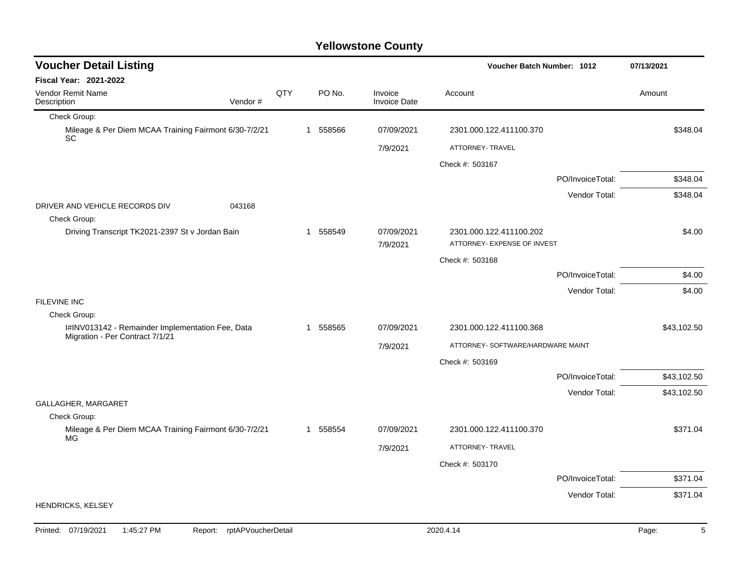| QTY<br>1 | PO No.<br>558566 | Invoice<br><b>Invoice Date</b><br>07/09/2021<br>7/9/2021 | Account<br>2301.000.122.411100.370<br>ATTORNEY- TRAVEL<br>Check #: 503167 |                                                    | Amount<br>\$348.04                                                                   |
|----------|------------------|----------------------------------------------------------|---------------------------------------------------------------------------|----------------------------------------------------|--------------------------------------------------------------------------------------|
|          |                  |                                                          |                                                                           |                                                    |                                                                                      |
|          |                  |                                                          |                                                                           |                                                    |                                                                                      |
|          |                  |                                                          |                                                                           |                                                    |                                                                                      |
|          |                  |                                                          |                                                                           |                                                    |                                                                                      |
|          |                  |                                                          |                                                                           |                                                    |                                                                                      |
|          |                  |                                                          |                                                                           |                                                    |                                                                                      |
|          |                  |                                                          |                                                                           | PO/InvoiceTotal:                                   | \$348.04                                                                             |
|          |                  |                                                          |                                                                           | Vendor Total:                                      | \$348.04                                                                             |
|          |                  |                                                          |                                                                           |                                                    |                                                                                      |
|          |                  | 7/9/2021                                                 |                                                                           |                                                    | \$4.00                                                                               |
|          |                  |                                                          | Check #: 503168                                                           |                                                    |                                                                                      |
|          |                  |                                                          |                                                                           | PO/InvoiceTotal:                                   | \$4.00                                                                               |
|          |                  |                                                          |                                                                           | Vendor Total:                                      | \$4.00                                                                               |
|          |                  |                                                          |                                                                           |                                                    |                                                                                      |
|          | 558565           | 07/09/2021                                               | 2301.000.122.411100.368                                                   |                                                    | \$43,102.50                                                                          |
|          |                  | 7/9/2021                                                 |                                                                           |                                                    |                                                                                      |
|          |                  |                                                          | Check #: 503169                                                           |                                                    |                                                                                      |
|          |                  |                                                          |                                                                           | PO/InvoiceTotal:                                   | \$43,102.50                                                                          |
|          |                  |                                                          |                                                                           | Vendor Total:                                      | \$43,102.50                                                                          |
|          |                  |                                                          |                                                                           |                                                    |                                                                                      |
|          |                  |                                                          |                                                                           |                                                    | \$371.04                                                                             |
|          |                  | 7/9/2021                                                 | ATTORNEY- TRAVEL                                                          |                                                    |                                                                                      |
|          |                  |                                                          | Check #: 503170                                                           |                                                    |                                                                                      |
|          |                  |                                                          |                                                                           |                                                    | \$371.04                                                                             |
|          |                  |                                                          |                                                                           | Vendor Total:                                      | \$371.04                                                                             |
|          | 1<br>1           | 558549<br>1 558554                                       | 07/09/2021<br>07/09/2021                                                  | 2301.000.122.411100.202<br>2301.000.122.411100.370 | ATTORNEY- EXPENSE OF INVEST<br>ATTORNEY- SOFTWARE/HARDWARE MAINT<br>PO/InvoiceTotal: |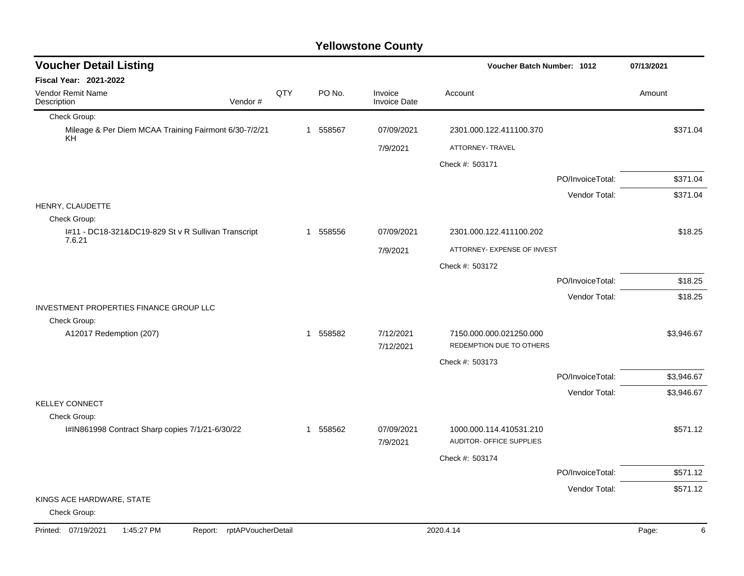| <b>Voucher Detail Listing</b>                                       |     |          |                                | Voucher Batch Number: 1012                          |                  | 07/13/2021 |
|---------------------------------------------------------------------|-----|----------|--------------------------------|-----------------------------------------------------|------------------|------------|
| Fiscal Year: 2021-2022                                              |     |          |                                |                                                     |                  |            |
| Vendor Remit Name<br>Description<br>Vendor#                         | QTY | PO No.   | Invoice<br><b>Invoice Date</b> | Account                                             |                  | Amount     |
| Check Group:                                                        |     |          |                                |                                                     |                  |            |
| Mileage & Per Diem MCAA Training Fairmont 6/30-7/2/21<br>KH.        |     | 1 558567 | 07/09/2021                     | 2301.000.122.411100.370                             |                  | \$371.04   |
|                                                                     |     |          | 7/9/2021                       | ATTORNEY- TRAVEL                                    |                  |            |
|                                                                     |     |          |                                | Check #: 503171                                     |                  |            |
|                                                                     |     |          |                                |                                                     | PO/InvoiceTotal: | \$371.04   |
|                                                                     |     |          |                                |                                                     | Vendor Total:    | \$371.04   |
| HENRY, CLAUDETTE                                                    |     |          |                                |                                                     |                  |            |
| Check Group:<br>I#11 - DC18-321&DC19-829 St v R Sullivan Transcript |     | 1 558556 | 07/09/2021                     | 2301.000.122.411100.202                             |                  | \$18.25    |
| 7.6.21                                                              |     |          | 7/9/2021                       | ATTORNEY- EXPENSE OF INVEST                         |                  |            |
|                                                                     |     |          |                                | Check #: 503172                                     |                  |            |
|                                                                     |     |          |                                |                                                     | PO/InvoiceTotal: | \$18.25    |
|                                                                     |     |          |                                |                                                     | Vendor Total:    | \$18.25    |
| INVESTMENT PROPERTIES FINANCE GROUP LLC                             |     |          |                                |                                                     |                  |            |
| Check Group:                                                        |     |          |                                |                                                     |                  |            |
| A12017 Redemption (207)                                             |     | 1 558582 | 7/12/2021<br>7/12/2021         | 7150.000.000.021250.000<br>REDEMPTION DUE TO OTHERS |                  | \$3,946.67 |
|                                                                     |     |          |                                | Check #: 503173                                     |                  |            |
|                                                                     |     |          |                                |                                                     | PO/InvoiceTotal: | \$3,946.67 |
|                                                                     |     |          |                                |                                                     | Vendor Total:    | \$3,946.67 |
| <b>KELLEY CONNECT</b><br>Check Group:                               |     |          |                                |                                                     |                  |            |
| I#IN861998 Contract Sharp copies 7/1/21-6/30/22                     |     | 1 558562 | 07/09/2021                     | 1000.000.114.410531.210                             |                  | \$571.12   |
|                                                                     |     |          | 7/9/2021                       | AUDITOR- OFFICE SUPPLIES                            |                  |            |
|                                                                     |     |          |                                | Check #: 503174                                     |                  |            |
|                                                                     |     |          |                                |                                                     | PO/InvoiceTotal: | \$571.12   |
|                                                                     |     |          |                                |                                                     | Vendor Total:    | \$571.12   |
| KINGS ACE HARDWARE, STATE<br>Check Group:                           |     |          |                                |                                                     |                  |            |
| Printed: 07/19/2021<br>1:45:27 PM<br>rptAPVoucherDetail<br>Report:  |     |          |                                | 2020.4.14                                           |                  | Page:<br>6 |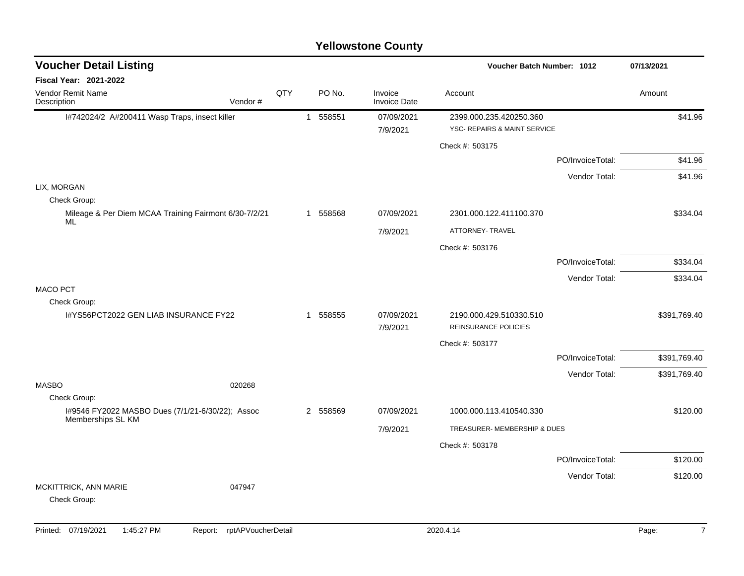### I#742024/2 A#200411 Wasp Traps, insect killer 1 558551 07/09/2021 2399.000.235.420250.360 7/9/2021 YSC- REPAIRS & MAINT SERVICE Check #: 503175 PO/InvoiceTotal: \$41.96 Vendor Total: \$41.96 LIX, MORGAN Check Group: Mileage & Per Diem MCAA Training Fairmont 6/30-7/2/21 ML 1 558568 07/09/2021 2301.000.122.411100.370 \$334.04 7/9/2021 ATTORNEY- TRAVEL Check #: 503176 PO/InvoiceTotal: \$334.04 Vendor Total: \$334.04 MACO PCT Check Group: I#YS56PCT2022 GEN LIAB INSURANCE FY22 1 558555 07/09/2021 2190.000.429.510330.510 7/9/2021 REINSURANCE POLICIES Check #: 503177 PO/InvoiceTotal: \$391,769.40 Vendor Total: \$391,769.40 MASBO 020268 Check Group: I#9546 FY2022 MASBO Dues (7/1/21-6/30/22); Assoc Memberships SL KM 2 558569 07/09/2021 1000.000.113.410540.330 \$120.00 7/9/2021 TREASURER- MEMBERSHIP & DUES Check #: 503178 PO/InvoiceTotal: \$120.00 Vendor Total: \$120.00 MCKITTRICK, ANN MARIE 047947 Check Group: **Voucher Batch Number: Yellowstone County** Vendor Remit Name **Description Voucher Detail Listing Fiscal Year: 2021-2022 1012 07/13/2021** PO No. Invoice Account Amount Amount Amount Amount Vendor # **QTY** Invoice Date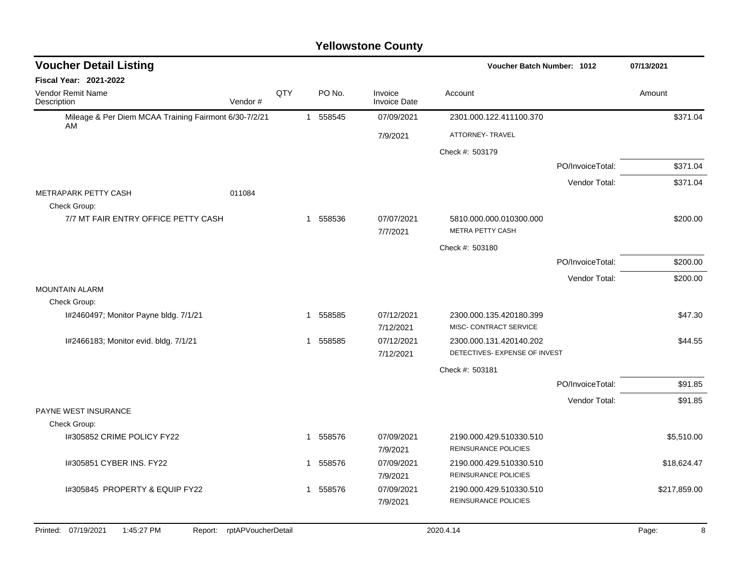| <b>Voucher Detail Listing</b>                               |                    |     |              |          |                                | <b>Voucher Batch Number: 1012</b>                 |                  | 07/13/2021   |
|-------------------------------------------------------------|--------------------|-----|--------------|----------|--------------------------------|---------------------------------------------------|------------------|--------------|
| Fiscal Year: 2021-2022                                      |                    |     |              |          |                                |                                                   |                  |              |
| Vendor Remit Name<br>Description                            | Vendor#            | QTY |              | PO No.   | Invoice<br><b>Invoice Date</b> | Account                                           |                  | Amount       |
| Mileage & Per Diem MCAA Training Fairmont 6/30-7/2/21<br>AM |                    |     | $\mathbf{1}$ | 558545   | 07/09/2021                     | 2301.000.122.411100.370                           |                  | \$371.04     |
|                                                             |                    |     |              |          | 7/9/2021                       | ATTORNEY- TRAVEL                                  |                  |              |
|                                                             |                    |     |              |          |                                | Check #: 503179                                   |                  |              |
|                                                             |                    |     |              |          |                                |                                                   | PO/InvoiceTotal: | \$371.04     |
|                                                             |                    |     |              |          |                                |                                                   | Vendor Total:    | \$371.04     |
| METRAPARK PETTY CASH<br>Check Group:                        | 011084             |     |              |          |                                |                                                   |                  |              |
| 7/7 MT FAIR ENTRY OFFICE PETTY CASH                         |                    |     | $\mathbf{1}$ | 558536   | 07/07/2021                     | 5810.000.000.010300.000                           |                  | \$200.00     |
|                                                             |                    |     |              |          | 7/7/2021                       | <b>METRA PETTY CASH</b>                           |                  |              |
|                                                             |                    |     |              |          |                                | Check #: 503180                                   |                  |              |
|                                                             |                    |     |              |          |                                |                                                   | PO/InvoiceTotal: | \$200.00     |
|                                                             |                    |     |              |          |                                |                                                   | Vendor Total:    | \$200.00     |
| <b>MOUNTAIN ALARM</b>                                       |                    |     |              |          |                                |                                                   |                  |              |
| Check Group:                                                |                    |     |              |          |                                |                                                   |                  |              |
| I#2460497; Monitor Payne bldg. 7/1/21                       |                    |     | $\mathbf 1$  | 558585   | 07/12/2021<br>7/12/2021        | 2300.000.135.420180.399<br>MISC- CONTRACT SERVICE |                  | \$47.30      |
| I#2466183; Monitor evid. bldg. 7/1/21                       |                    |     |              | 1 558585 | 07/12/2021                     | 2300.000.131.420140.202                           |                  | \$44.55      |
|                                                             |                    |     |              |          | 7/12/2021                      | DETECTIVES- EXPENSE OF INVEST                     |                  |              |
|                                                             |                    |     |              |          |                                | Check #: 503181                                   |                  |              |
|                                                             |                    |     |              |          |                                |                                                   | PO/InvoiceTotal: | \$91.85      |
|                                                             |                    |     |              |          |                                |                                                   | Vendor Total:    | \$91.85      |
| PAYNE WEST INSURANCE                                        |                    |     |              |          |                                |                                                   |                  |              |
| Check Group:                                                |                    |     |              |          |                                |                                                   |                  |              |
| I#305852 CRIME POLICY FY22                                  |                    |     |              | 1 558576 | 07/09/2021<br>7/9/2021         | 2190.000.429.510330.510<br>REINSURANCE POLICIES   |                  | \$5,510.00   |
| 1#305851 CYBER INS. FY22                                    |                    |     |              | 1 558576 | 07/09/2021<br>7/9/2021         | 2190.000.429.510330.510<br>REINSURANCE POLICIES   |                  | \$18,624.47  |
| 1#305845 PROPERTY & EQUIP FY22                              |                    |     |              | 1 558576 | 07/09/2021<br>7/9/2021         | 2190.000.429.510330.510<br>REINSURANCE POLICIES   |                  | \$217,859.00 |
| Printed: 07/19/2021<br>1:45:27 PM<br>Report:                | rptAPVoucherDetail |     |              |          |                                | 2020.4.14                                         |                  | 8<br>Page:   |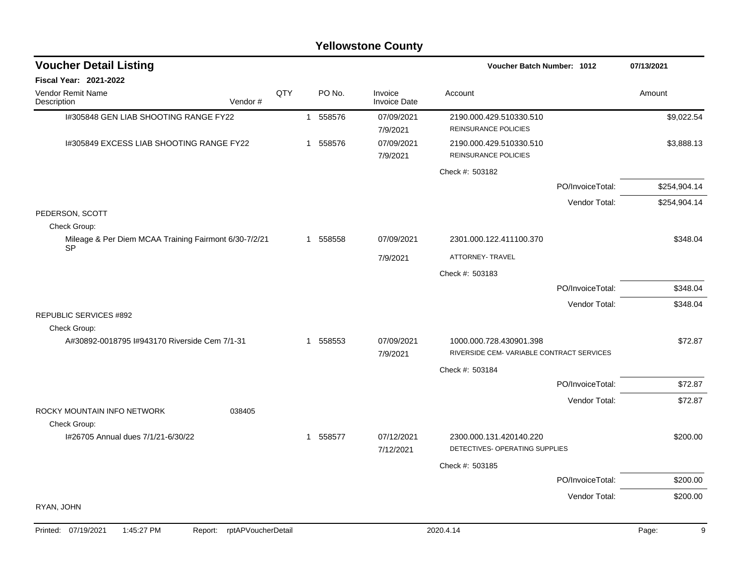| <b>Voucher Detail Listing</b>                         |                    |     | <b>Voucher Batch Number: 1012</b> |          |                                |                                                           |                  | 07/13/2021   |
|-------------------------------------------------------|--------------------|-----|-----------------------------------|----------|--------------------------------|-----------------------------------------------------------|------------------|--------------|
| Fiscal Year: 2021-2022                                |                    |     |                                   |          |                                |                                                           |                  |              |
| Vendor Remit Name<br>Description                      | Vendor#            | QTY |                                   | PO No.   | Invoice<br><b>Invoice Date</b> | Account                                                   |                  | Amount       |
| I#305848 GEN LIAB SHOOTING RANGE FY22                 |                    |     |                                   | 1 558576 | 07/09/2021<br>7/9/2021         | 2190.000.429.510330.510<br>REINSURANCE POLICIES           |                  | \$9,022.54   |
| 1#305849 EXCESS LIAB SHOOTING RANGE FY22              |                    |     |                                   | 1 558576 | 07/09/2021<br>7/9/2021         | 2190.000.429.510330.510<br><b>REINSURANCE POLICIES</b>    |                  | \$3,888.13   |
|                                                       |                    |     |                                   |          |                                | Check #: 503182                                           |                  |              |
|                                                       |                    |     |                                   |          |                                |                                                           | PO/InvoiceTotal: | \$254,904.14 |
|                                                       |                    |     |                                   |          |                                |                                                           | Vendor Total:    | \$254,904.14 |
| PEDERSON, SCOTT<br>Check Group:                       |                    |     |                                   |          |                                |                                                           |                  |              |
| Mileage & Per Diem MCAA Training Fairmont 6/30-7/2/21 |                    |     |                                   | 1 558558 | 07/09/2021                     | 2301.000.122.411100.370                                   |                  | \$348.04     |
| <b>SP</b>                                             |                    |     |                                   |          | 7/9/2021                       | ATTORNEY- TRAVEL                                          |                  |              |
|                                                       |                    |     |                                   |          |                                | Check #: 503183                                           |                  |              |
|                                                       |                    |     |                                   |          |                                |                                                           | PO/InvoiceTotal: | \$348.04     |
|                                                       |                    |     |                                   |          |                                |                                                           | Vendor Total:    | \$348.04     |
| <b>REPUBLIC SERVICES #892</b><br>Check Group:         |                    |     |                                   |          |                                |                                                           |                  |              |
| A#30892-0018795 I#943170 Riverside Cem 7/1-31         |                    |     |                                   | 1 558553 | 07/09/2021                     | 1000.000.728.430901.398                                   |                  | \$72.87      |
|                                                       |                    |     |                                   |          | 7/9/2021                       | RIVERSIDE CEM-VARIABLE CONTRACT SERVICES                  |                  |              |
|                                                       |                    |     |                                   |          |                                | Check #: 503184                                           |                  |              |
|                                                       |                    |     |                                   |          |                                |                                                           | PO/InvoiceTotal: | \$72.87      |
| ROCKY MOUNTAIN INFO NETWORK                           | 038405             |     |                                   |          |                                |                                                           | Vendor Total:    | \$72.87      |
| Check Group:                                          |                    |     |                                   |          |                                |                                                           |                  |              |
| I#26705 Annual dues 7/1/21-6/30/22                    |                    |     |                                   | 1 558577 | 07/12/2021<br>7/12/2021        | 2300.000.131.420140.220<br>DETECTIVES- OPERATING SUPPLIES |                  | \$200.00     |
|                                                       |                    |     |                                   |          |                                | Check #: 503185                                           |                  |              |
|                                                       |                    |     |                                   |          |                                |                                                           | PO/InvoiceTotal: | \$200.00     |
|                                                       |                    |     |                                   |          |                                |                                                           | Vendor Total:    | \$200.00     |
| RYAN, JOHN                                            |                    |     |                                   |          |                                |                                                           |                  |              |
| Printed: 07/19/2021<br>1:45:27 PM<br>Report:          | rptAPVoucherDetail |     |                                   |          |                                | 2020.4.14                                                 |                  | 9<br>Page:   |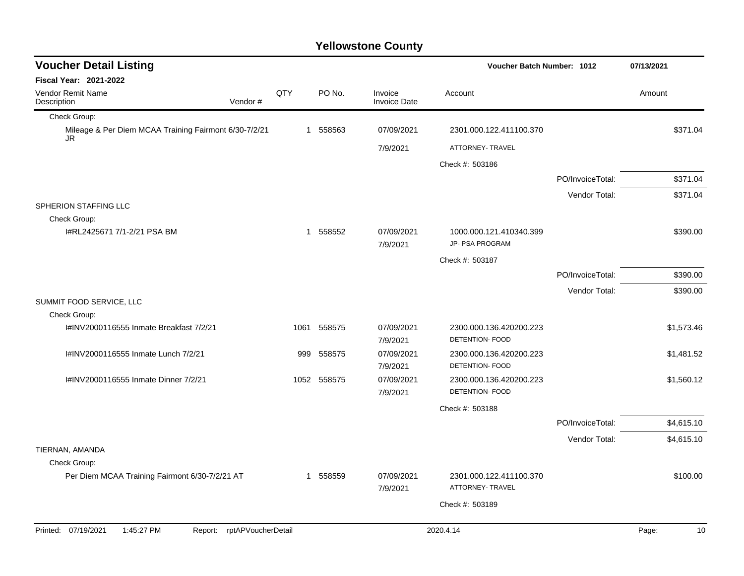| <b>Voucher Detail Listing</b>                                      |      |             |                                | Voucher Batch Number: 1012                        |                  | 07/13/2021  |
|--------------------------------------------------------------------|------|-------------|--------------------------------|---------------------------------------------------|------------------|-------------|
| Fiscal Year: 2021-2022                                             |      |             |                                |                                                   |                  |             |
| Vendor Remit Name<br>Description<br>Vendor#                        | QTY  | PO No.      | Invoice<br><b>Invoice Date</b> | Account                                           |                  | Amount      |
| Check Group:                                                       |      |             |                                |                                                   |                  |             |
| Mileage & Per Diem MCAA Training Fairmont 6/30-7/2/21<br>JR.       |      | 1 558563    | 07/09/2021                     | 2301.000.122.411100.370                           |                  | \$371.04    |
|                                                                    |      |             | 7/9/2021                       | ATTORNEY- TRAVEL                                  |                  |             |
|                                                                    |      |             |                                | Check #: 503186                                   |                  |             |
|                                                                    |      |             |                                |                                                   | PO/InvoiceTotal: | \$371.04    |
|                                                                    |      |             |                                |                                                   | Vendor Total:    | \$371.04    |
| SPHERION STAFFING LLC<br>Check Group:                              |      |             |                                |                                                   |                  |             |
| I#RL2425671 7/1-2/21 PSA BM                                        |      | 1 558552    | 07/09/2021<br>7/9/2021         | 1000.000.121.410340.399<br>JP- PSA PROGRAM        |                  | \$390.00    |
|                                                                    |      |             |                                | Check #: 503187                                   |                  |             |
|                                                                    |      |             |                                |                                                   | PO/InvoiceTotal: | \$390.00    |
|                                                                    |      |             |                                |                                                   | Vendor Total:    | \$390.00    |
| SUMMIT FOOD SERVICE, LLC                                           |      |             |                                |                                                   |                  |             |
| Check Group:                                                       |      |             |                                |                                                   |                  |             |
| I#INV2000116555 Inmate Breakfast 7/2/21                            | 1061 | 558575      | 07/09/2021<br>7/9/2021         | 2300.000.136.420200.223<br>DETENTION- FOOD        |                  | \$1,573.46  |
| I#INV2000116555 Inmate Lunch 7/2/21                                | 999  | 558575      | 07/09/2021<br>7/9/2021         | 2300.000.136.420200.223<br><b>DETENTION- FOOD</b> |                  | \$1,481.52  |
| I#INV2000116555 Inmate Dinner 7/2/21                               |      | 1052 558575 | 07/09/2021<br>7/9/2021         | 2300.000.136.420200.223<br><b>DETENTION- FOOD</b> |                  | \$1,560.12  |
|                                                                    |      |             |                                | Check #: 503188                                   |                  |             |
|                                                                    |      |             |                                |                                                   | PO/InvoiceTotal: | \$4,615.10  |
|                                                                    |      |             |                                |                                                   | Vendor Total:    | \$4,615.10  |
| TIERNAN, AMANDA                                                    |      |             |                                |                                                   |                  |             |
| Check Group:                                                       |      |             |                                |                                                   |                  |             |
| Per Diem MCAA Training Fairmont 6/30-7/2/21 AT                     |      | 1 558559    | 07/09/2021<br>7/9/2021         | 2301.000.122.411100.370<br>ATTORNEY- TRAVEL       |                  | \$100.00    |
|                                                                    |      |             |                                | Check #: 503189                                   |                  |             |
|                                                                    |      |             |                                |                                                   |                  |             |
| Printed: 07/19/2021<br>1:45:27 PM<br>rptAPVoucherDetail<br>Report: |      |             |                                | 2020.4.14                                         |                  | Page:<br>10 |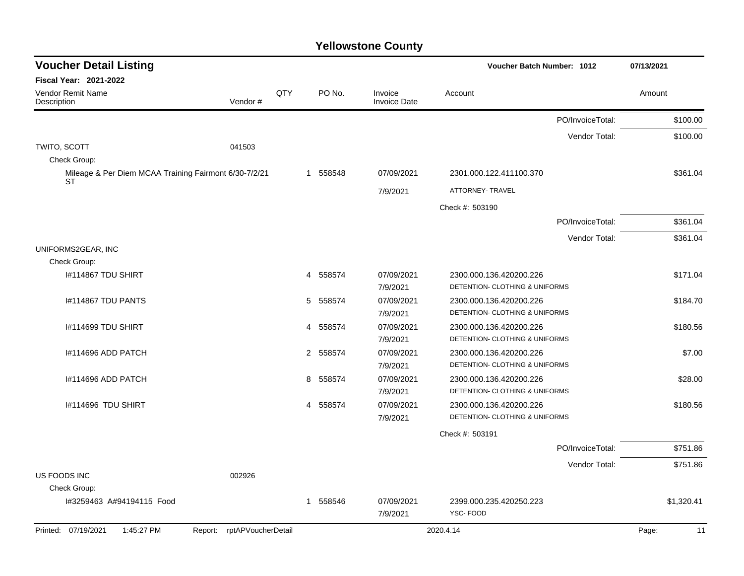| <b>Voucher Detail Listing</b>                                      |                            |     |   |          |                                | Voucher Batch Number: 1012                                |                  | 07/13/2021 |            |
|--------------------------------------------------------------------|----------------------------|-----|---|----------|--------------------------------|-----------------------------------------------------------|------------------|------------|------------|
| <b>Fiscal Year: 2021-2022</b>                                      |                            |     |   |          |                                |                                                           |                  |            |            |
| Vendor Remit Name<br>Description                                   | Vendor#                    | QTY |   | PO No.   | Invoice<br><b>Invoice Date</b> | Account                                                   |                  | Amount     |            |
|                                                                    |                            |     |   |          |                                |                                                           | PO/InvoiceTotal: |            | \$100.00   |
|                                                                    |                            |     |   |          |                                |                                                           | Vendor Total:    |            | \$100.00   |
| TWITO, SCOTT<br>Check Group:                                       | 041503                     |     |   |          |                                |                                                           |                  |            |            |
| Mileage & Per Diem MCAA Training Fairmont 6/30-7/2/21<br><b>ST</b> |                            |     |   | 1 558548 | 07/09/2021                     | 2301.000.122.411100.370                                   |                  |            | \$361.04   |
|                                                                    |                            |     |   |          | 7/9/2021                       | ATTORNEY- TRAVEL                                          |                  |            |            |
|                                                                    |                            |     |   |          |                                | Check #: 503190                                           |                  |            |            |
|                                                                    |                            |     |   |          |                                |                                                           | PO/InvoiceTotal: |            | \$361.04   |
|                                                                    |                            |     |   |          |                                |                                                           | Vendor Total:    |            | \$361.04   |
| UNIFORMS2GEAR, INC                                                 |                            |     |   |          |                                |                                                           |                  |            |            |
| Check Group:                                                       |                            |     |   |          |                                |                                                           |                  |            |            |
| I#114867 TDU SHIRT                                                 |                            |     | 4 | 558574   | 07/09/2021                     | 2300.000.136.420200.226                                   |                  |            | \$171.04   |
|                                                                    |                            |     |   |          | 7/9/2021                       | DETENTION- CLOTHING & UNIFORMS                            |                  |            |            |
| I#114867 TDU PANTS                                                 |                            |     | 5 | 558574   | 07/09/2021                     | 2300.000.136.420200.226                                   |                  |            | \$184.70   |
|                                                                    |                            |     |   |          | 7/9/2021                       | DETENTION- CLOTHING & UNIFORMS                            |                  |            |            |
| I#114699 TDU SHIRT                                                 |                            |     | 4 | 558574   | 07/09/2021                     | 2300.000.136.420200.226                                   |                  |            | \$180.56   |
|                                                                    |                            |     |   |          | 7/9/2021                       | DETENTION- CLOTHING & UNIFORMS                            |                  |            |            |
| I#114696 ADD PATCH                                                 |                            |     |   | 2 558574 | 07/09/2021                     | 2300.000.136.420200.226                                   |                  |            | \$7.00     |
|                                                                    |                            |     | 8 |          | 7/9/2021<br>07/09/2021         | DETENTION- CLOTHING & UNIFORMS                            |                  |            |            |
| I#114696 ADD PATCH                                                 |                            |     |   | 558574   | 7/9/2021                       | 2300.000.136.420200.226<br>DETENTION- CLOTHING & UNIFORMS |                  |            | \$28.00    |
| I#114696 TDU SHIRT                                                 |                            |     | 4 | 558574   | 07/09/2021                     | 2300.000.136.420200.226                                   |                  |            | \$180.56   |
|                                                                    |                            |     |   |          | 7/9/2021                       | DETENTION- CLOTHING & UNIFORMS                            |                  |            |            |
|                                                                    |                            |     |   |          |                                | Check #: 503191                                           |                  |            |            |
|                                                                    |                            |     |   |          |                                |                                                           | PO/InvoiceTotal: |            | \$751.86   |
|                                                                    |                            |     |   |          |                                |                                                           | Vendor Total:    |            | \$751.86   |
| US FOODS INC                                                       | 002926                     |     |   |          |                                |                                                           |                  |            |            |
| Check Group:                                                       |                            |     |   |          |                                |                                                           |                  |            |            |
| I#3259463 A#94194115 Food                                          |                            |     |   | 1 558546 | 07/09/2021                     | 2399.000.235.420250.223                                   |                  |            | \$1,320.41 |
|                                                                    |                            |     |   |          | 7/9/2021                       | YSC-FOOD                                                  |                  |            |            |
| Printed: 07/19/2021<br>1:45:27 PM                                  | Report: rptAPVoucherDetail |     |   |          |                                | 2020.4.14                                                 |                  | Page:      | 11         |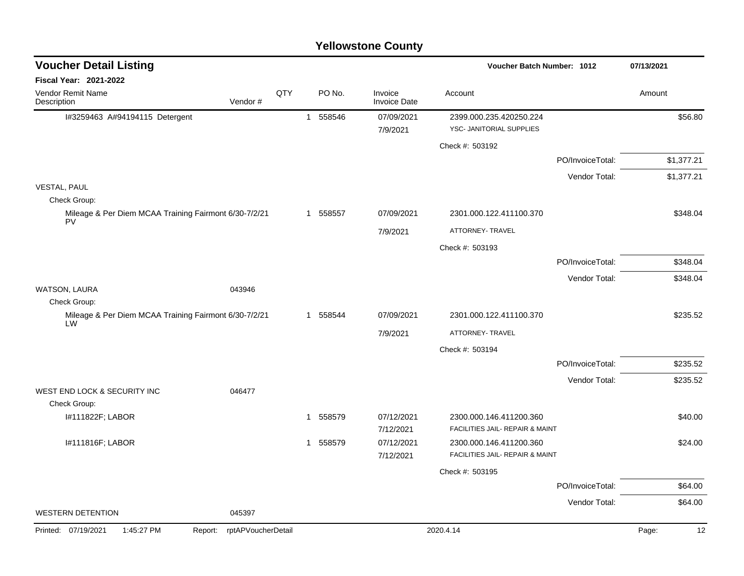|                                                                       |                    |     |              |          | i viivwature vuurty            |                                                            |                  |             |
|-----------------------------------------------------------------------|--------------------|-----|--------------|----------|--------------------------------|------------------------------------------------------------|------------------|-------------|
| <b>Voucher Detail Listing</b>                                         |                    |     |              |          |                                | Voucher Batch Number: 1012                                 |                  | 07/13/2021  |
| <b>Fiscal Year: 2021-2022</b>                                         |                    |     |              |          |                                |                                                            |                  |             |
| Vendor Remit Name<br>Description                                      | Vendor#            | QTY |              | PO No.   | Invoice<br><b>Invoice Date</b> | Account                                                    |                  | Amount      |
| I#3259463 A#94194115 Detergent                                        |                    |     | $\mathbf{1}$ | 558546   | 07/09/2021<br>7/9/2021         | 2399.000.235.420250.224<br>YSC- JANITORIAL SUPPLIES        |                  | \$56.80     |
|                                                                       |                    |     |              |          |                                | Check #: 503192                                            |                  |             |
|                                                                       |                    |     |              |          |                                |                                                            | PO/InvoiceTotal: | \$1,377.21  |
|                                                                       |                    |     |              |          |                                |                                                            | Vendor Total:    | \$1,377.21  |
| <b>VESTAL, PAUL</b>                                                   |                    |     |              |          |                                |                                                            |                  |             |
| Check Group:<br>Mileage & Per Diem MCAA Training Fairmont 6/30-7/2/21 |                    |     |              | 1 558557 | 07/09/2021                     | 2301.000.122.411100.370                                    |                  | \$348.04    |
| PV                                                                    |                    |     |              |          | 7/9/2021                       | ATTORNEY- TRAVEL                                           |                  |             |
|                                                                       |                    |     |              |          |                                | Check #: 503193                                            |                  |             |
|                                                                       |                    |     |              |          |                                |                                                            | PO/InvoiceTotal: | \$348.04    |
|                                                                       |                    |     |              |          |                                |                                                            | Vendor Total:    | \$348.04    |
| WATSON, LAURA                                                         | 043946             |     |              |          |                                |                                                            |                  |             |
| Check Group:                                                          |                    |     |              |          |                                |                                                            |                  |             |
| Mileage & Per Diem MCAA Training Fairmont 6/30-7/2/21<br>LW           |                    |     |              | 1 558544 | 07/09/2021                     | 2301.000.122.411100.370                                    |                  | \$235.52    |
|                                                                       |                    |     |              |          | 7/9/2021                       | ATTORNEY- TRAVEL                                           |                  |             |
|                                                                       |                    |     |              |          |                                | Check #: 503194                                            |                  |             |
|                                                                       |                    |     |              |          |                                |                                                            | PO/InvoiceTotal: | \$235.52    |
|                                                                       |                    |     |              |          |                                |                                                            | Vendor Total:    | \$235.52    |
| WEST END LOCK & SECURITY INC<br>Check Group:                          | 046477             |     |              |          |                                |                                                            |                  |             |
| I#111822F; LABOR                                                      |                    |     | $\mathbf{1}$ | 558579   | 07/12/2021<br>7/12/2021        | 2300.000.146.411200.360<br>FACILITIES JAIL- REPAIR & MAINT |                  | \$40.00     |
| I#111816F; LABOR                                                      |                    |     | $\mathbf{1}$ | 558579   | 07/12/2021                     | 2300.000.146.411200.360                                    |                  | \$24.00     |
|                                                                       |                    |     |              |          | 7/12/2021                      | FACILITIES JAIL- REPAIR & MAINT                            |                  |             |
|                                                                       |                    |     |              |          |                                | Check #: 503195                                            |                  |             |
|                                                                       |                    |     |              |          |                                |                                                            | PO/InvoiceTotal: | \$64.00     |
|                                                                       |                    |     |              |          |                                |                                                            | Vendor Total:    | \$64.00     |
| <b>WESTERN DETENTION</b>                                              | 045397             |     |              |          |                                |                                                            |                  |             |
| Printed: 07/19/2021<br>1:45:27 PM<br>Report:                          | rptAPVoucherDetail |     |              |          |                                | 2020.4.14                                                  |                  | 12<br>Page: |